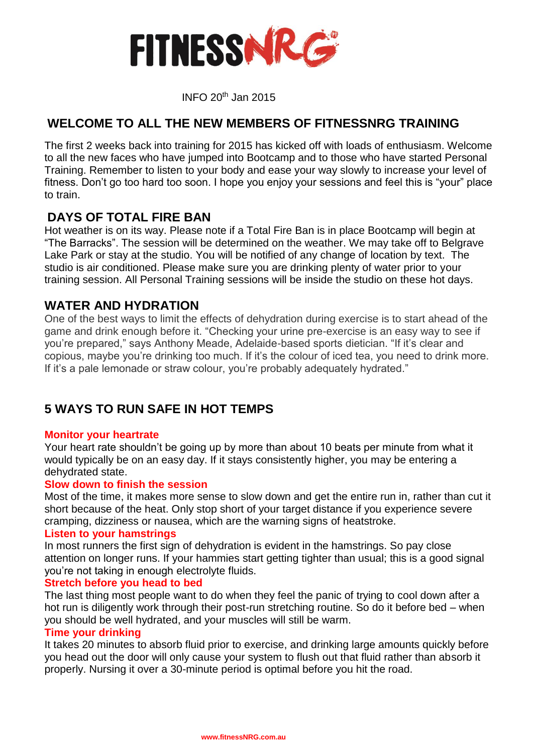

INFO <sup>20</sup>th Jan 2015

## **WELCOME TO ALL THE NEW MEMBERS OF FITNESSNRG TRAINING**

The first 2 weeks back into training for 2015 has kicked off with loads of enthusiasm. Welcome to all the new faces who have jumped into Bootcamp and to those who have started Personal Training. Remember to listen to your body and ease your way slowly to increase your level of fitness. Don't go too hard too soon. I hope you enjoy your sessions and feel this is "your" place to train.

## **DAYS OF TOTAL FIRE BAN**

Hot weather is on its way. Please note if a Total Fire Ban is in place Bootcamp will begin at "The Barracks". The session will be determined on the weather. We may take off to Belgrave Lake Park or stay at the studio. You will be notified of any change of location by text. The studio is air conditioned. Please make sure you are drinking plenty of water prior to your training session. All Personal Training sessions will be inside the studio on these hot days.

## **WATER AND HYDRATION**

One of the best ways to limit the effects of dehydration during exercise is to start ahead of the game and drink enough before it. "Checking your urine pre-exercise is an easy way to see if you're prepared," says Anthony Meade, Adelaide-based sports dietician. "If it's clear and copious, maybe you're drinking too much. If it's the colour of iced tea, you need to drink more. If it's a pale lemonade or straw colour, you're probably adequately hydrated."

# **5 WAYS TO RUN SAFE IN HOT TEMPS**

#### **Monitor your heartrate**

Your heart rate shouldn't be going up by more than about 10 beats per minute from what it would typically be on an easy day. If it stays consistently higher, you may be entering a dehydrated state.

#### **Slow down to finish the session**

Most of the time, it makes more sense to slow down and get the entire run in, rather than cut it short because of the heat. Only stop short of your target distance if you experience severe cramping, dizziness or nausea, which are the warning signs of heatstroke.

#### **Listen to your hamstrings**

In most runners the first sign of dehydration is evident in the hamstrings. So pay close attention on longer runs. If your hammies start getting tighter than usual; this is a good signal you're not taking in enough electrolyte fluids.

#### **Stretch before you head to bed**

The last thing most people want to do when they feel the panic of trying to cool down after a hot run is diligently work through their post-run stretching routine. So do it before bed – when you should be well hydrated, and your muscles will still be warm.

#### **Time your drinking**

It takes 20 minutes to absorb fluid prior to exercise, and drinking large amounts quickly before you head out the door will only cause your system to flush out that fluid rather than absorb it properly. Nursing it over a 30-minute period is optimal before you hit the road.